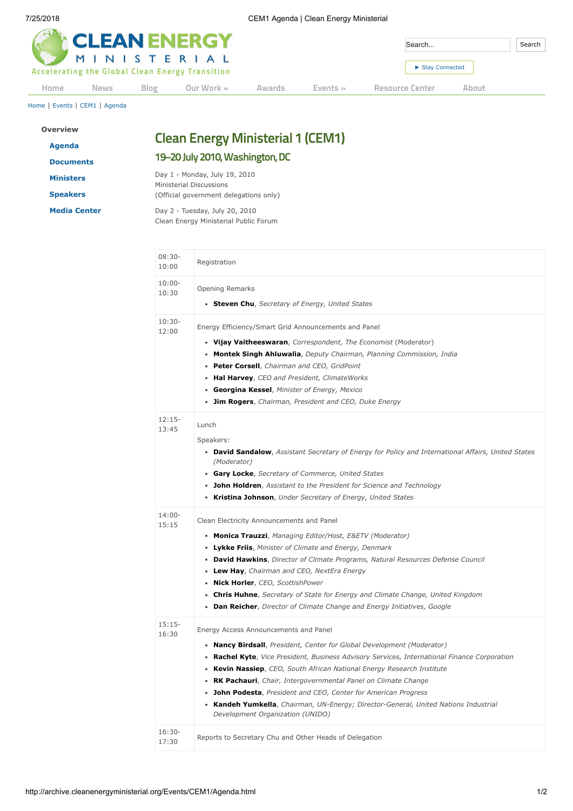|      | <b>CLEAN ENERGY</b> |      | Search                                                         |        | Search       |                 |       |  |
|------|---------------------|------|----------------------------------------------------------------|--------|--------------|-----------------|-------|--|
|      |                     |      | MINISTERIAL<br>Accelerating the Global Clean Energy Transition |        |              | Stay Connected  |       |  |
| Home | <b>News</b>         | Blog | Our Work »                                                     | Awards | Events $\gg$ | Resource Center | About |  |

[Home](http://archive.cleanenergyministerial.org/index.html) | [Events](http://archive.cleanenergyministerial.org/Events.html) | [CEM1](http://archive.cleanenergyministerial.org/Events/CEM1.html) | [Agenda](http://archive.cleanenergyministerial.org/Events/CEM1/Agenda.html)

| <b>Overview</b>     |  |  |
|---------------------|--|--|
| Agenda              |  |  |
| <b>Documents</b>    |  |  |
| <b>Ministers</b>    |  |  |
| <b>Speakers</b>     |  |  |
| <b>Media Center</b> |  |  |

## **Clean Energy Ministerial 1 (CEM1)**

## **19–20 July 2010,Washington,DC**

Day 1 - Monday, July 19, 2010 Ministerial Discussions (Official government delegations only)

Day 2 - Tuesday, July 20, 2010 Clean Energy Ministerial Public Forum

| $08:30-$<br>10:00  | Registration                                                                                                                                                                                                                                                                                                                                                                                                                                                                                                                                                     |
|--------------------|------------------------------------------------------------------------------------------------------------------------------------------------------------------------------------------------------------------------------------------------------------------------------------------------------------------------------------------------------------------------------------------------------------------------------------------------------------------------------------------------------------------------------------------------------------------|
| $10:00 -$<br>10:30 | <b>Opening Remarks</b><br>• Steven Chu, Secretary of Energy, United States                                                                                                                                                                                                                                                                                                                                                                                                                                                                                       |
| $10:30-$<br>12:00  | Energy Efficiency/Smart Grid Announcements and Panel<br>• Vijay Vaitheeswaran, Correspondent, The Economist (Moderator)<br>• Montek Singh Ahluwalia, Deputy Chairman, Planning Commission, India<br>• Peter Corsell, Chairman and CEO, GridPoint<br>• Hal Harvey, CEO and President, ClimateWorks<br>• Georgina Kessel, Minister of Energy, Mexico<br>• Jim Rogers, Chairman, President and CEO, Duke Energy                                                                                                                                                     |
| $12:15-$<br>13:45  | Lunch<br>Speakers:<br>• David Sandalow, Assistant Secretary of Energy for Policy and International Affairs, United States<br>(Moderator)<br>• Gary Locke, Secretary of Commerce, United States<br>• John Holdren, Assistant to the President for Science and Technology<br>• Kristina Johnson, Under Secretary of Energy, United States                                                                                                                                                                                                                          |
| $14:00 -$<br>15:15 | Clean Electricity Announcements and Panel<br>• Monica Trauzzi, Managing Editor/Host, E&ETV (Moderator)<br>• Lykke Friis, Minister of Climate and Energy, Denmark<br>• David Hawkins, Director of Climate Programs, Natural Resources Defense Council<br>• Lew Hay, Chairman and CEO, NextEra Energy<br>· Nick Horler, CEO, ScottishPower<br>• Chris Huhne, Secretary of State for Energy and Climate Change, United Kingdom<br>• Dan Reicher, Director of Climate Change and Energy Initiatives, Google                                                          |
| $15:15-$<br>16:30  | Energy Access Announcements and Panel<br>• Nancy Birdsall, President, Center for Global Development (Moderator)<br>• Rachel Kyte, Vice President, Business Advisory Services, International Finance Corporation<br>• Kevin Nassiep, CEO, South African National Energy Research Institute<br>• RK Pachauri, Chair, Intergovernmental Panel on Climate Change<br>• John Podesta, President and CEO, Center for American Progress<br><b>Kandeh Yumkella</b> , Chairman, UN-Energy; Director-General, United Nations Industrial<br>Development Organization (UNIDO) |
| $16:30-$<br>17:30  | Reports to Secretary Chu and Other Heads of Delegation                                                                                                                                                                                                                                                                                                                                                                                                                                                                                                           |